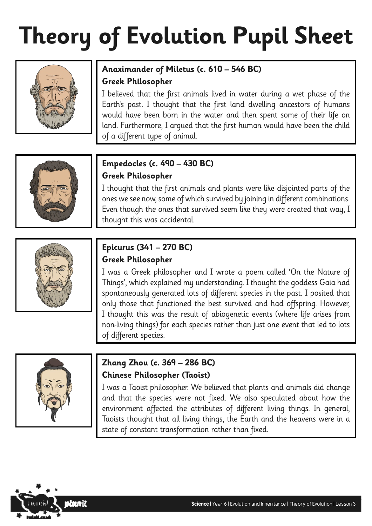# **Theory of Evolution Pupil Sheet**



#### **Anaximander of Miletus (c. 610 – 546 BC) Greek Philosopher**

I believed that the first animals lived in water during a wet phase of the Earth's past. I thought that the first land dwelling ancestors of humans would have been born in the water and then spent some of their life on land. Furthermore, I argued that the first human would have been the child of a different type of animal.



#### **Empedocles (c. 490 – 430 BC) Greek Philosopher**

I thought that the first animals and plants were like disjointed parts of the ones we see now, some of which survived by joining in different combinations. Even though the ones that survived seem like they were created that way, I thought this was accidental.



#### **Epicurus (341 – 270 BC) Greek Philosopher**

I was a Greek philosopher and I wrote a poem called 'On the Nature of Things', which explained my understanding. I thought the goddess Gaia had spontaneously generated lots of different species in the past. I posited that only those that functioned the best survived and had offspring. However, I thought this was the result of abiogenetic events (where life arises from non-living things) for each species rather than just one event that led to lots of different species.



#### **Zhang Zhou (c. 369 – 286 BC) Chinese Philosopher (Taoist)**

I was a Taoist philosopher. We believed that plants and animals did change and that the species were not fixed. We also speculated about how the environment affected the attributes of different living things. In general, Taoists thought that all living things, the Earth and the heavens were in a state of constant transformation rather than fixed.

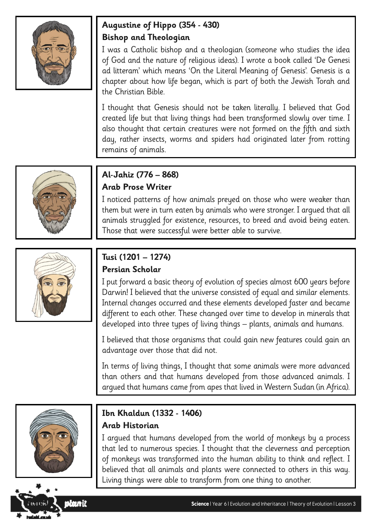

#### **Augustine of Hippo (354 - 430) Bishop and Theologian**

I was a Catholic bishop and a theologian (someone who studies the idea of God and the nature of religious ideas). I wrote a book called 'De Genesi ad litteram' which means 'On the Literal Meaning of Genesis'. Genesis is a chapter about how life began, which is part of both the Jewish Torah and the Christian Bible.

I thought that Genesis should not be taken literally. I believed that God created life but that living things had been transformed slowly over time. I also thought that certain creatures were not formed on the fifth and sixth day, rather insects, worms and spiders had originated later from rotting remains of animals.



#### **Al-Jahiz (776 – 868) Arab Prose Writer**

I noticed patterns of how animals preyed on those who were weaker than them but were in turn eaten by animals who were stronger. I argued that all animals struggled for existence, resources, to breed and avoid being eaten. Those that were successful were better able to survive.



#### **Tusi (1201 – 1274) Persian Scholar**

I put forward a basic theory of evolution of species almost 600 years before Darwin! I believed that the universe consisted of equal and similar elements. Internal changes occurred and these elements developed faster and became different to each other. These changed over time to develop in minerals that developed into three types of living things – plants, animals and humans.

I believed that those organisms that could gain new features could gain an advantage over those that did not.

In terms of living things, I thought that some animals were more advanced than others and that humans developed from those advanced animals. I argued that humans came from apes that lived in Western Sudan (in Africa).



slanit

#### **Ibn Khaldun (1332 - 1406)**

#### **Arab Historian**

I argued that humans developed from the world of monkeys by a process that led to numerous species. I thought that the cleverness and perception of monkeys was transformed into the human ability to think and reflect. I believed that all animals and plants were connected to others in this way. Living things were able to transform from one thing to another.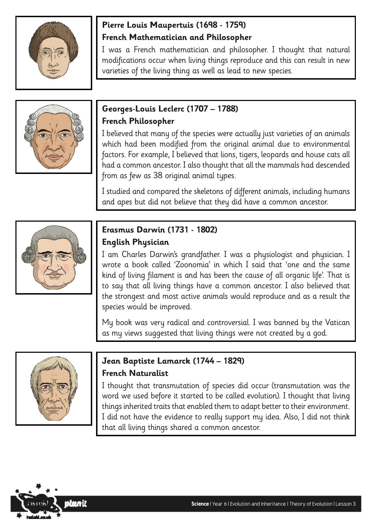

#### **Pierre Louis Maupertuis (1698 - 1759) French Mathematician and Philosopher**

I was a French mathematician and philosopher. I thought that natural modifications occur when living things reproduce and this can result in new varieties of the living thing as well as lead to new species.



#### **Georges-Louis Leclerc (1707 – 1788) French Philosopher**

I believed that many of the species were actually just varieties of an animals which had been modified from the original animal due to environmental factors. For example, I believed that lions, tigers, leopards and house cats all had a common ancestor. I also thought that all the mammals had descended from as few as 38 original animal types.

I studied and compared the skeletons of different animals, including humans and apes but did not believe that they did have a common ancestor.



#### **Erasmus Darwin (1731 - 1802) English Physician**

I am Charles Darwin's grandfather. I was a physiologist and physician. I wrote a book called 'Zoonomia' in which I said that 'one and the same kind of living filament is and has been the cause of all organic life'. That is to say that all living things have a common ancestor. I also believed that the strongest and most active animals would reproduce and as a result the species would be improved.

My book was very radical and controversial. I was banned by the Vatican as my views suggested that living things were not created by a god.



#### **Jean Baptiste Lamarck (1744 – 1829) French Naturalist**

I thought that transmutation of species did occur (transmutation was the word we used before it started to be called evolution). I thought that living things inherited traits that enabled them to adapt better to their environment. I did not have the evidence to really support my idea. Also, I did not think that all living things shared a common ancestor.

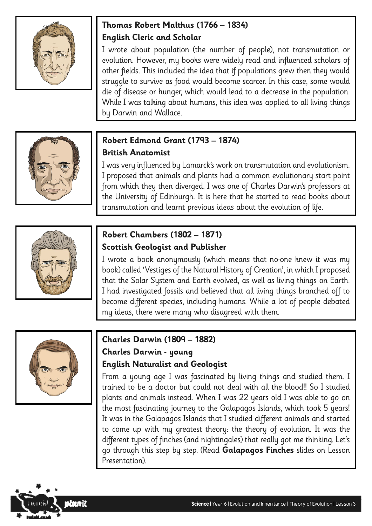

#### **Thomas Robert Malthus (1766 – 1834) English Cleric and Scholar**

I wrote about population (the number of people), not transmutation or evolution. However, my books were widely read and influenced scholars of other fields. This included the idea that if populations grew then they would struggle to survive as food would become scarcer. In this case, some would die of disease or hunger, which would lead to a decrease in the population. While I was talking about humans, this idea was applied to all living things by Darwin and Wallace.



#### **Robert Edmond Grant (1793 – 1874) British Anatomist**

I was very influenced by Lamarck's work on transmutation and evolutionism. I proposed that animals and plants had a common evolutionary start point from which they then diverged. I was one of Charles Darwin's professors at the University of Edinburgh. It is here that he started to read books about transmutation and learnt previous ideas about the evolution of life.



#### **Robert Chambers (1802 – 1871) Scottish Geologist and Publisher**

I wrote a book anonymously (which means that no-one knew it was my book) called 'Vestiges of the Natural History of Creation', in which I proposed that the Solar System and Earth evolved, as well as living things on Earth. I had investigated fossils and believed that all living things branched off to become different species, including humans. While a lot of people debated my ideas, there were many who disagreed with them.



#### **Charles Darwin (1809 – 1882) Charles Darwin - young English Naturalist and Geologist**

From a young age I was fascinated by living things and studied them. I trained to be a doctor but could not deal with all the blood!! So I studied plants and animals instead. When I was 22 years old I was able to go on the most fascinating journey to the Galapagos Islands, which took 5 years! It was in the Galapagos Islands that I studied different animals and started to come up with my greatest theory: the theory of evolution. It was the different types of finches (and nightingales) that really got me thinking. Let's go through this step by step. (Read **Galapagos Finches** slides on Lesson Presentation).